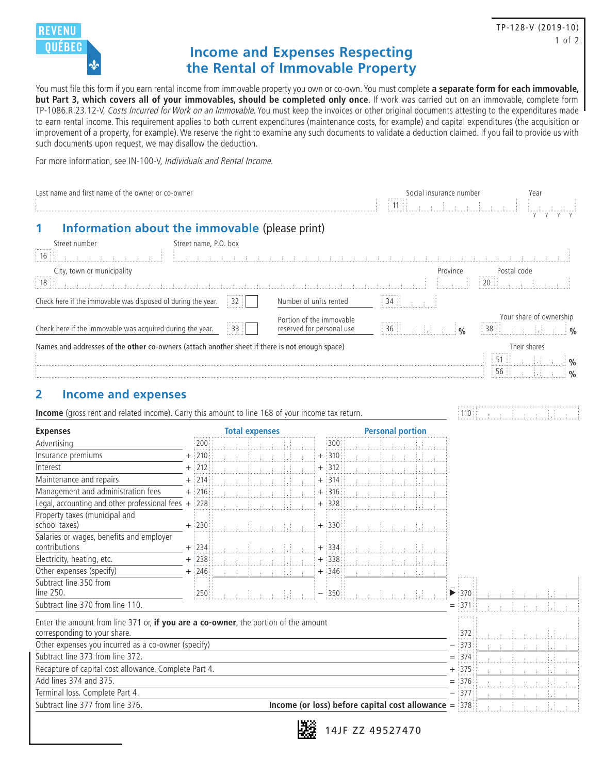

# **Income and Expenses Respecting the Rental of Immovable Property**

You must file this form if you earn rental income from immovable property you own or co-own. You must complete **a separate form for each immovable, but Part 3, which covers all of your immovables, should be completed only once**. If work was carried out on an immovable, complete form TP-1086.R.23.12-V, Costs Incurred for Work on an Immovable. You must keep the invoices or other original documents attesting to the expenditures made to earn rental income. This requirement applies to both current expenditures (maintenance costs, for example) and capital expenditures (the acquisition or improvement of a property, for example). We reserve the right to examine any such documents to validate a deduction claimed. If you fail to provide us with such documents upon request, we may disallow the deduction.

For more information, see IN-100-V, Individuals and Rental Income.

| Last name and first name of the owner or co-owner                                                                                   | : 11 ::                                      | Social insurance number |  | Year                           |  |                                                  |          |                    |                   |                         |                                |
|-------------------------------------------------------------------------------------------------------------------------------------|----------------------------------------------|-------------------------|--|--------------------------------|--|--------------------------------------------------|----------|--------------------|-------------------|-------------------------|--------------------------------|
| Information about the immovable (please print)<br>1<br>Street number<br>16                                                          | Street name, P.O. box<br>de de la contra del |                         |  |                                |  |                                                  |          |                    |                   |                         |                                |
| City, town or municipality<br>18<br><b>CENTER PRODUCTS ENTITLE AREA</b>                                                             |                                              |                         |  |                                |  |                                                  | Province |                    | Postal code<br>20 |                         |                                |
| Check here if the immovable was disposed of during the year.                                                                        |                                              | 32                      |  | Number of units rented         |  | 34:                                              |          |                    |                   |                         |                                |
| Portion of the immovable<br>Check here if the immovable was acquired during the year.<br>33<br>reserved for personal use            |                                              |                         |  |                                |  |                                                  |          | $\frac{1}{2}$ %    | 38                | Your share of ownership |                                |
| Names and addresses of the other co-owners (attach another sheet if there is not enough space)                                      |                                              |                         |  |                                |  |                                                  |          |                    | 51<br>56          | Their shares            | $\frac{0}{0}$<br>$\frac{0}{0}$ |
| <b>Income and expenses</b><br>2<br>Income (gross rent and related income). Carry this amount to line 168 of your income tax return. |                                              |                         |  |                                |  |                                                  |          | ፥ 110              |                   |                         |                                |
| <b>Expenses</b>                                                                                                                     |                                              | <b>Total expenses</b>   |  |                                |  | <b>Personal portion</b>                          |          |                    |                   |                         |                                |
| Advertising<br>Insurance premiums                                                                                                   | 200<br>$\frac{1}{2}$ 210                     |                         |  | 300<br>1310                    |  |                                                  |          |                    |                   |                         |                                |
| Interest                                                                                                                            | :212                                         |                         |  | $^+$<br>312<br>$\hbox{+}$      |  |                                                  |          |                    |                   |                         |                                |
| Maintenance and repairs                                                                                                             | $\frac{1}{2}$ 214                            |                         |  | $\frac{1}{2}314$<br>$\hbox{ }$ |  |                                                  |          |                    |                   |                         |                                |
| Management and administration fees                                                                                                  | $+$ :216                                     |                         |  | :316<br>+                      |  |                                                  |          |                    |                   |                         |                                |
| Legal, accounting and other professional fees $+$ 228                                                                               |                                              |                         |  | $+$ :328                       |  |                                                  |          |                    |                   |                         |                                |
| Property taxes (municipal and<br>school taxes)                                                                                      | $+$ :230                                     |                         |  | $+$ :330                       |  |                                                  |          |                    |                   |                         |                                |
| Salaries or wages, benefits and employer                                                                                            |                                              |                         |  |                                |  |                                                  |          |                    |                   |                         |                                |
| contributions                                                                                                                       | $+$ 234                                      |                         |  | $+$ 334                        |  |                                                  |          |                    |                   |                         |                                |
| Electricity, heating, etc.                                                                                                          | $+$ :238                                     |                         |  | $+$ 338                        |  |                                                  |          |                    |                   |                         |                                |
| Other expenses (specify)                                                                                                            | $+$ :246                                     |                         |  | $+$ :346                       |  |                                                  |          |                    |                   |                         |                                |
| Subtract line 350 from<br>line 250.                                                                                                 | 250                                          |                         |  | 1350                           |  |                                                  |          | ▶<br>1370          |                   |                         |                                |
| Subtract line 370 from line 110.                                                                                                    |                                              |                         |  |                                |  |                                                  |          | 1371               |                   |                         |                                |
| Enter the amount from line 371 or, if you are a co-owner, the portion of the amount<br>corresponding to your share.                 |                                              |                         |  |                                |  |                                                  |          | 372                |                   |                         |                                |
| Other expenses you incurred as a co-owner (specify)<br>Subtract line 373 from line 372.                                             |                                              |                         |  |                                |  |                                                  |          | $\frac{1}{2}373$   |                   |                         |                                |
|                                                                                                                                     |                                              |                         |  |                                |  |                                                  |          | $=$ 374            |                   | Ħ                       |                                |
| Recapture of capital cost allowance. Complete Part 4.<br>Add lines 374 and 375.                                                     |                                              |                         |  |                                |  |                                                  |          | $+$ 375<br>$=$ 376 |                   |                         |                                |
| Terminal loss. Complete Part 4.                                                                                                     |                                              |                         |  |                                |  |                                                  |          | $\frac{1}{2}377$   |                   | IJ                      |                                |
| Subtract line 377 from line 376.                                                                                                    |                                              |                         |  |                                |  | Income (or loss) before capital cost allowance = |          | 378                |                   | IJ.                     |                                |
|                                                                                                                                     |                                              |                         |  |                                |  |                                                  |          |                    |                   |                         |                                |